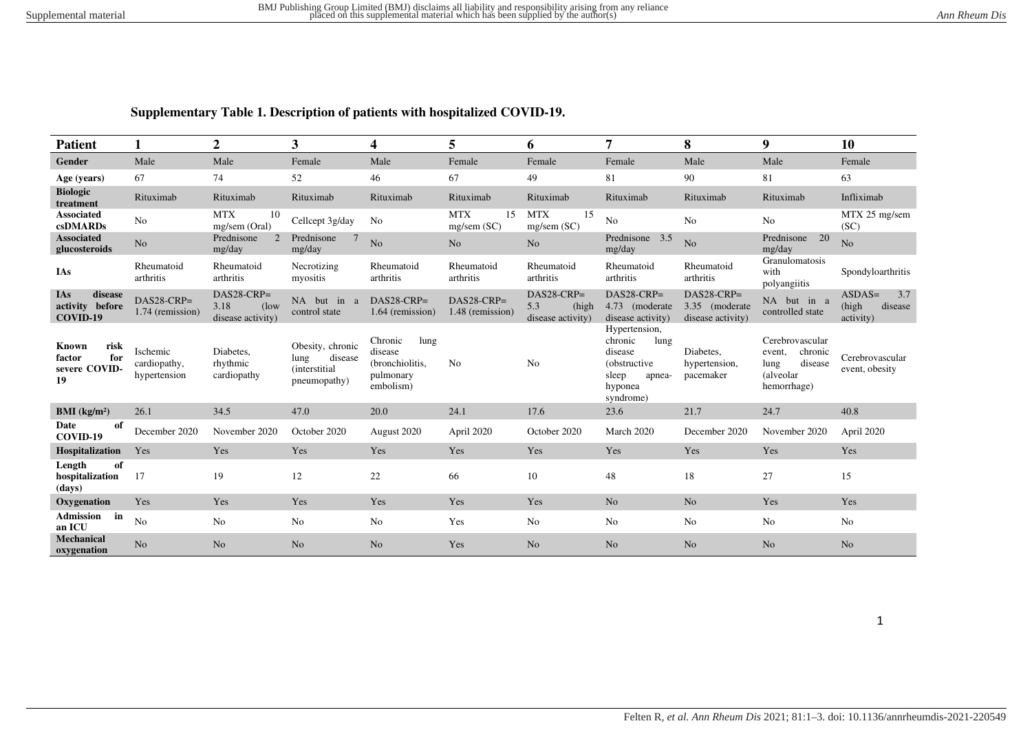## **Supplementary Table 1. Description of patients with hospitalized COVID-19.**

| <b>Patient</b>                                        | 1                                        | $\overline{2}$                                       | 3                                                                            | 4                                                                       | 5                                 | 6                                                  | 7                                                                                                      | 8                                                   | 9                                                                                   | 10                                               |
|-------------------------------------------------------|------------------------------------------|------------------------------------------------------|------------------------------------------------------------------------------|-------------------------------------------------------------------------|-----------------------------------|----------------------------------------------------|--------------------------------------------------------------------------------------------------------|-----------------------------------------------------|-------------------------------------------------------------------------------------|--------------------------------------------------|
| Gender                                                | Male                                     | Male                                                 | Female                                                                       | Male                                                                    | Female                            | Female                                             | Female                                                                                                 | Male                                                | Male                                                                                | Female                                           |
| Age (years)                                           | 67                                       | 74                                                   | 52                                                                           | 46                                                                      | 67                                | 49                                                 | 81                                                                                                     | 90                                                  | 81                                                                                  | 63                                               |
| <b>Biologic</b><br>treatment                          | Rituximab                                | Rituximab                                            | Rituximab                                                                    | Rituximab                                                               | Rituximab                         | Rituximab                                          | Rituximab                                                                                              | Rituximab                                           | Rituximab                                                                           | Infliximab                                       |
| <b>Associated</b><br>csDMARDs                         | No                                       | <b>MTX</b><br>10<br>mg/sem (Oral)                    | Cellcept 3g/day                                                              | No                                                                      | <b>MTX</b><br>15<br>mg/sem(SC)    | <b>MTX</b><br>15<br>mg/sem (SC)                    | No                                                                                                     | No                                                  | No                                                                                  | MTX 25 mg/sem<br>(SC)                            |
| <b>Associated</b><br>glucosteroids                    | No                                       | Prednisone<br>$\mathcal{D}$<br>mg/day                | Prednisone<br>mg/day                                                         | $\rm No$                                                                | N <sub>o</sub>                    | N <sub>o</sub>                                     | Prednisone 3.5<br>mg/day                                                                               | $\rm No$                                            | Prednisone 20<br>mg/day                                                             | N <sub>o</sub>                                   |
| <b>IAs</b>                                            | Rheumatoid<br>arthritis                  | Rheumatoid<br>arthritis                              | Necrotizing<br>myositis                                                      | Rheumatoid<br>arthritis                                                 | Rheumatoid<br>arthritis           | Rheumatoid<br>arthritis                            | Rheumatoid<br>arthritis                                                                                | Rheumatoid<br>arthritis                             | Granulomatosis<br>with<br>polyangiitis                                              | Spondyloarthritis                                |
| <b>IAs</b><br>disease<br>activity before<br>COVID-19  | DAS28-CRP=<br>1.74 (remission)           | $DAS28-CRP=$<br>3.18<br>$($ low<br>disease activity) | NA but in a<br>control state                                                 | $DAS28-CRP =$<br>1.64 (remission)                                       | $DAS28-CRP =$<br>1.48 (remission) | $DAS28-CRP =$<br>5.3<br>(high<br>disease activity) | $DAS28-CRP=$<br>4.73 (moderate)<br>disease activity)                                                   | $DAS28-CRP=$<br>3.35 (moderate<br>disease activity) | NA but in a<br>controlled state                                                     | 3.7<br>$ASDAS=$<br>(high<br>disease<br>activity) |
| Known<br>risk<br>for<br>factor<br>severe COVID-<br>19 | Ischemic<br>cardiopathy,<br>hypertension | Diabetes,<br>rhythmic<br>cardiopathy                 | Obesity, chronic<br>disease<br>lung<br><i>(interstitial)</i><br>pneumopathy) | Chronic<br>lung<br>disease<br>(bronchiolitis,<br>pulmonary<br>embolism) | No                                | N <sub>0</sub>                                     | Hypertension,<br>chronic<br>lung<br>disease<br>(obstructive<br>sleep<br>apnea-<br>hyponea<br>syndrome) | Diabetes,<br>hypertension,<br>pacemaker             | Cerebrovascular<br>chronic<br>event,<br>disease<br>lung<br>(alveolar<br>hemorrhage) | Cerebrovascular<br>event, obesity                |
| BMI (kg/m <sup>2</sup> )                              | 26.1                                     | 34.5                                                 | 47.0                                                                         | 20.0                                                                    | 24.1                              | 17.6                                               | 23.6                                                                                                   | 21.7                                                | 24.7                                                                                | 40.8                                             |
| of<br>Date<br>COVID-19                                | December 2020                            | November 2020                                        | October 2020                                                                 | August 2020                                                             | April 2020                        | October 2020                                       | March 2020                                                                                             | December 2020                                       | November 2020                                                                       | April 2020                                       |
| Hospitalization                                       | Yes                                      | Yes                                                  | Yes                                                                          | Yes                                                                     | Yes                               | Yes                                                | Yes                                                                                                    | Yes                                                 | Yes                                                                                 | Yes                                              |
| Length<br>of<br>hospitalization<br>(days)             | 17                                       | 19                                                   | 12                                                                           | 22                                                                      | 66                                | 10                                                 | 48                                                                                                     | 18                                                  | 27                                                                                  | 15                                               |
| Oxygenation                                           | Yes                                      | Yes                                                  | Yes                                                                          | Yes                                                                     | Yes                               | Yes                                                | No                                                                                                     | N <sub>o</sub>                                      | Yes                                                                                 | Yes                                              |
| Admission in<br>an ICU                                | No                                       | N <sub>o</sub>                                       | No                                                                           | No                                                                      | Yes                               | No                                                 | No                                                                                                     | N <sub>o</sub>                                      | No                                                                                  | N <sub>o</sub>                                   |
| <b>Mechanical</b><br>oxygenation                      | No                                       | N <sub>o</sub>                                       | N <sub>o</sub>                                                               | N <sub>o</sub>                                                          | Yes                               | No                                                 | No                                                                                                     | N <sub>o</sub>                                      | N <sub>o</sub>                                                                      | N <sub>o</sub>                                   |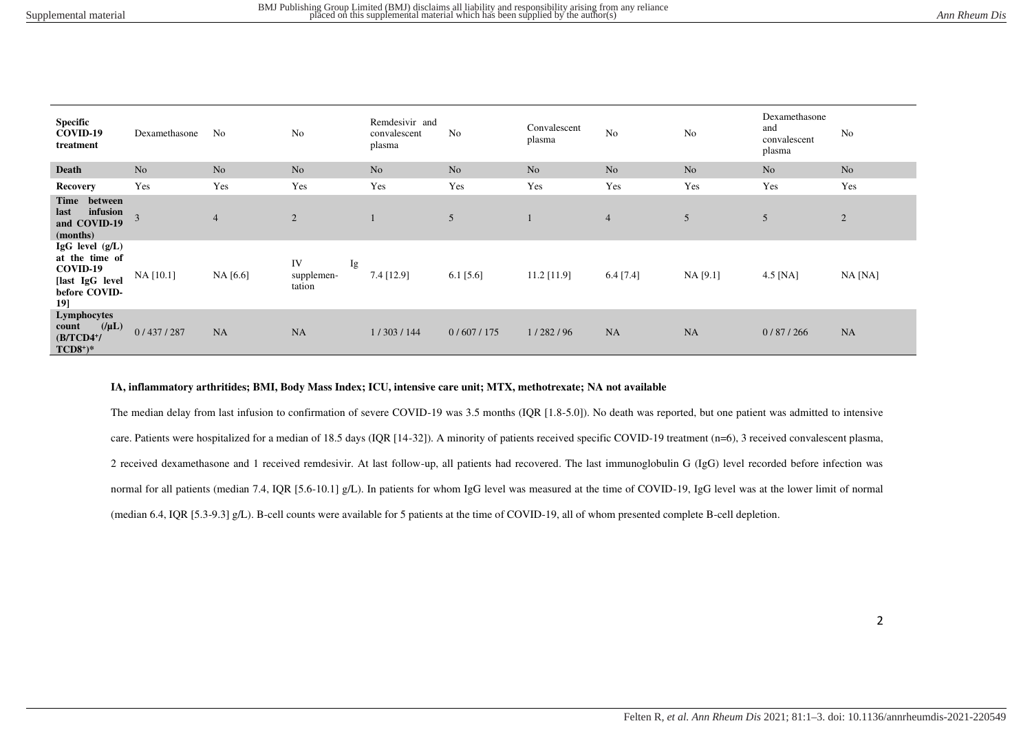| <b>Specific</b><br>COVID-19<br>treatment                                                     | Dexamethasone  | No             | No                               | Remdesivir and<br>convalescent<br>plasma | No             | Convalescent<br>plasma | No             | No             | Dexamethasone<br>and<br>convalescent<br>plasma | No             |
|----------------------------------------------------------------------------------------------|----------------|----------------|----------------------------------|------------------------------------------|----------------|------------------------|----------------|----------------|------------------------------------------------|----------------|
| Death                                                                                        | N <sub>o</sub> | N <sub>o</sub> | N <sub>o</sub>                   | N <sub>o</sub>                           | N <sub>o</sub> | N <sub>o</sub>         | N <sub>o</sub> | N <sub>o</sub> | N <sub>o</sub>                                 | N <sub>o</sub> |
| <b>Recovery</b>                                                                              | Yes            | Yes            | Yes                              | Yes                                      | Yes            | Yes                    | Yes            | Yes            | Yes                                            | Yes            |
| Time between<br>infusion<br>last<br>and COVID-19<br>(months)                                 | $\overline{3}$ | $\overline{4}$ | 2                                |                                          | 5              |                        | $\overline{4}$ | 5              | 5                                              | $\overline{2}$ |
| $IgG$ level $(g/L)$<br>at the time of<br>COVID-19<br>[last IgG level<br>before COVID-<br>19] | NA [10.1]      | NA [6.6]       | IV<br>Ig<br>supplemen-<br>tation | 7.4 [12.9]                               | $6.1$ [5.6]    | 11.2 [11.9]            | $6.4$ [7.4]    | NA [9.1]       | $4.5$ [NA]                                     | NA [NA]        |
| Lymphocytes<br>(1, L)<br>count<br>$(B/TCD4+/$<br>$TCD8^+$                                    | 0/437/287      | NA             | <b>NA</b>                        | 1/303/144                                | 0/607/175      | 1/282/96               | <b>NA</b>      | <b>NA</b>      | 0/87/266                                       | <b>NA</b>      |

## **IA, inflammatory arthritides; BMI, Body Mass Index; ICU, intensive care unit; MTX, methotrexate; NA not available**

The median delay from last infusion to confirmation of severe COVID-19 was 3.5 months (IQR [1.8-5.0]). No death was reported, but one patient was admitted to intensive care. Patients were hospitalized for a median of 18.5 days (IQR [14-32]). A minority of patients received specific COVID-19 treatment (n=6), 3 received convalescent plasma, 2 received dexamethasone and 1 received remdesivir. At last follow-up, all patients had recovered. The last immunoglobulin G (IgG) level recorded before infection was normal for all patients (median 7.4, IQR [5.6-10.1] g/L). In patients for whom IgG level was measured at the time of COVID-19, IgG level was at the lower limit of normal (median 6.4, IQR [5.3-9.3] g/L). B-cell counts were available for 5 patients at the time of COVID-19, all of whom presented complete B-cell depletion.